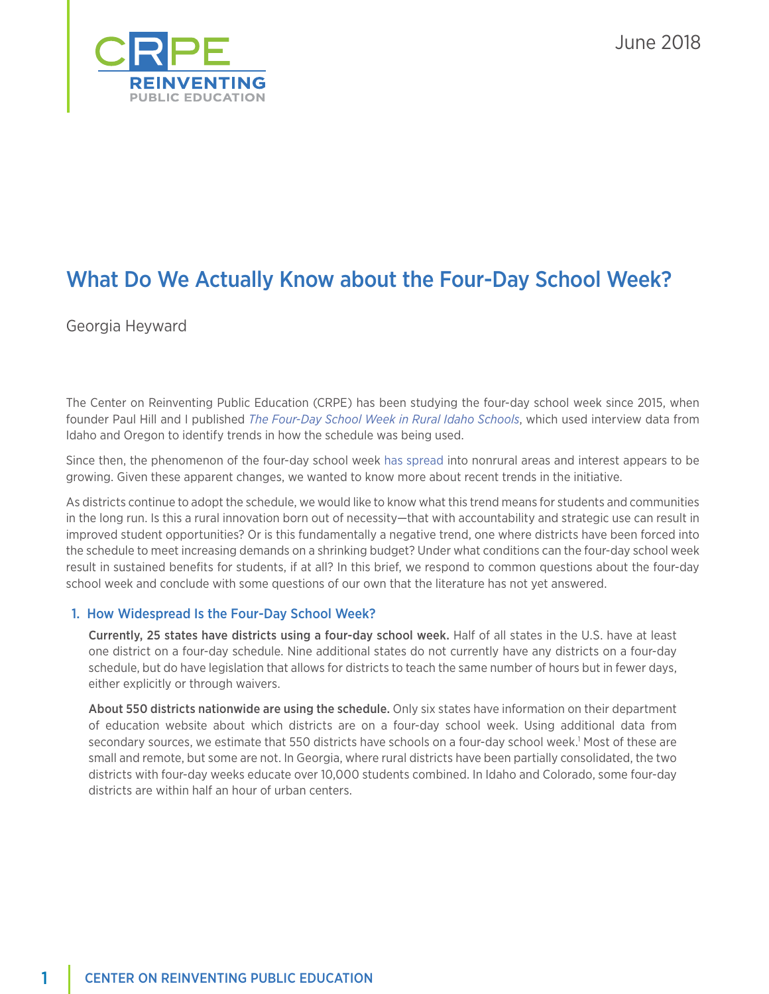

June 2018

# What Do We Actually Know about the Four-Day School Week?

Georgia Heyward

The Center on Reinventing Public Education (CRPE) has been studying the four-day school week since 2015, when founder Paul Hill and I published *[The Four-Day School Week in Rural Idaho Schools](http://www.rociidaho.org/wp-content/uploads/2015/07/ROCI_4DayWeek_Final.pdf)*, which used interview data from Idaho and Oregon to identify trends in how the schedule was being used.

Since then, the phenomenon of the four-day school week [has spread](http://www.governing.com/topics/education/sl-four-day-schoolweek.html) into nonrural areas and interest appears to be growing. Given these apparent changes, we wanted to know more about recent trends in the initiative.

As districts continue to adopt the schedule, we would like to know what this trend means for students and communities in the long run. Is this a rural innovation born out of necessity—that with accountability and strategic use can result in improved student opportunities? Or is this fundamentally a negative trend, one where districts have been forced into the schedule to meet increasing demands on a shrinking budget? Under what conditions can the four-day school week result in sustained benefits for students, if at all? In this brief, we respond to common questions about the four-day school week and conclude with some questions of our own that the literature has not yet answered.

## 1. How Widespread Is the Four-Day School Week?

Currently, 25 states have districts using a four-day school week. Half of all states in the U.S. have at least one district on a four-day schedule. Nine additional states do not currently have any districts on a four-day schedule, but do have legislation that allows for districts to teach the same number of hours but in fewer days, either explicitly or through waivers.

About 550 districts nationwide are using the schedule. Only six states have information on their department of education website about which districts are on a four-day school week. Using additional data from secondary sources, we estimate that 550 districts have schools on a four-day school week.<sup>1</sup> Most of these are small and remote, but some are not. In Georgia, where rural districts have been partially consolidated, the two districts with four-day weeks educate over 10,000 students combined. In Idaho and Colorado, some four-day districts are within half an hour of urban centers.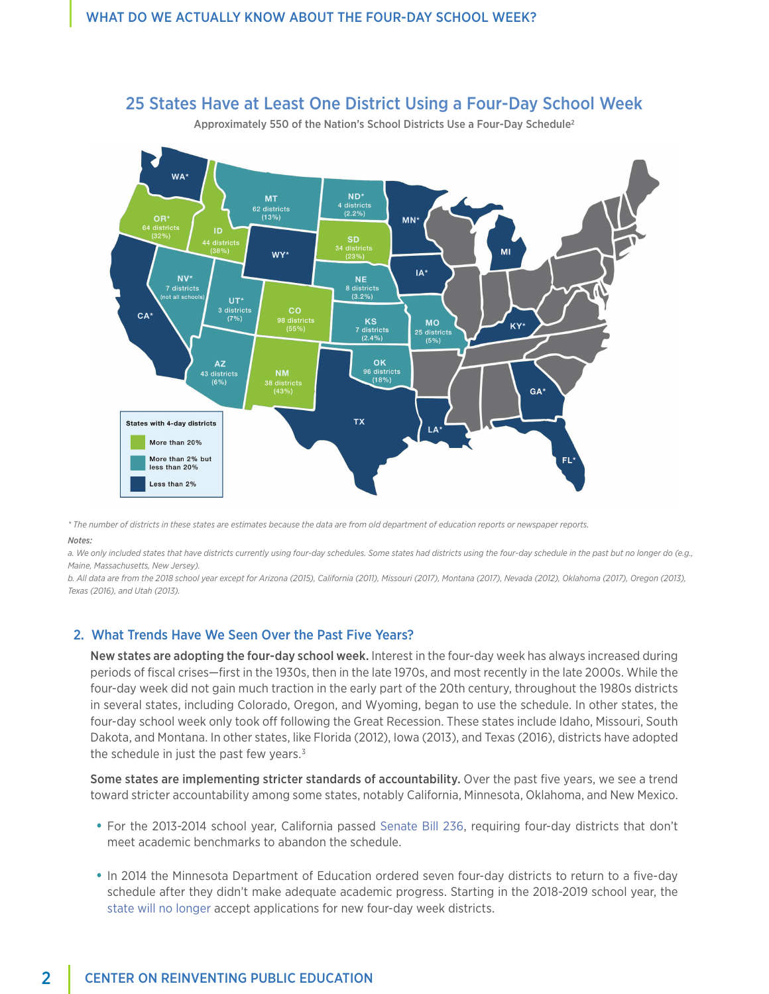

# 25 States Have at Least One District Using a Four-Day School Week

Approximately 550 of the Nation's School Districts Use a Four-Day Schedule<sup>2</sup>

*\* The number of districts in these states are estimates because the data are from old department of education reports or newspaper reports. Notes:*

*a. We only included states that have districts currently using four-day schedules. Some states had districts using the four-day schedule in the past but no longer do (e.g., Maine, Massachusetts, New Jersey).*

*b. All data are from the 2018 school year except for Arizona (2015), California (2011), Missouri (2017), Montana (2017), Nevada (2012), Oklahoma (2017), Oregon (2013), Texas (2016), and Utah (2013).*

## 2. What Trends Have We Seen Over the Past Five Years?

New states are adopting the four-day school week. Interest in the four-day week has always increased during periods of fiscal crises—first in the 1930s, then in the late 1970s, and most recently in the late 2000s. While the four-day week did not gain much traction in the early part of the 20th century, throughout the 1980s districts in several states, including Colorado, Oregon, and Wyoming, began to use the schedule. In other states, the four-day school week only took off following the Great Recession. These states include Idaho, Missouri, South Dakota, and Montana. In other states, like Florida (2012), Iowa (2013), and Texas (2016), districts have adopted the schedule in just the past few years. $3$ 

Some states are implementing stricter standards of accountability. Over the past five years, we see a trend toward stricter accountability among some states, notably California, Minnesota, Oklahoma, and New Mexico.

- **•** For the 2013-2014 school year, California passed [Senate Bill 236](http://leginfo.legislature.ca.gov/faces/billNavClient.xhtml?bill_id=201320140SB236), requiring four-day districts that don't meet academic benchmarks to abandon the schedule.
- **•** In 2014 the Minnesota Department of Education ordered seven four-day districts to return to a five-day schedule after they didn't make adequate academic progress. Starting in the 2018-2019 school year, the [state will no longer](http://education.state.mn.us/mdeprod/idcplg?IdcService=GET_FILE&dDocName=MDE034743&RevisionSelectionMethod=latestReleased&Rendition=primary) accept applications for new four-day week districts.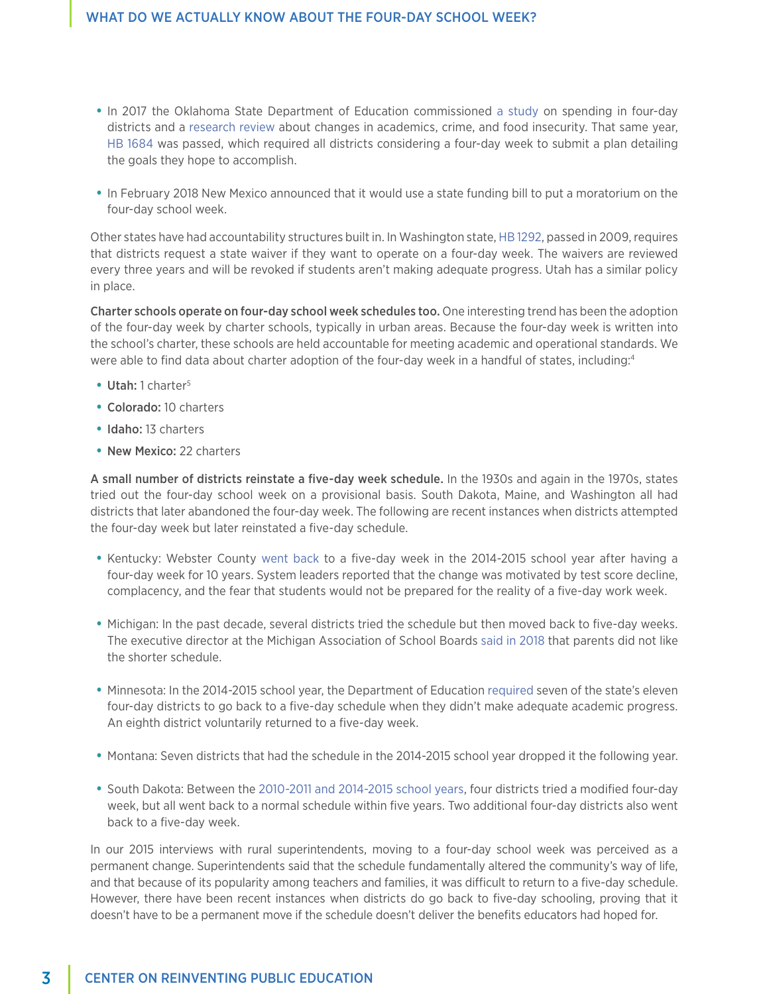- **•** In 2017 the Oklahoma State Department of Education commissioned [a study](http://sde.ok.gov/sde/sites/ok.gov.sde/files/FDSW%20Report.pdf) on spending in four-day districts and a [research review](https://www.ok.gov/health2/documents/FINAL%20HIA%20Four%20Day%20School%20Week%202017.pdf) about changes in academics, crime, and food insecurity. That same year, [HB 1684](http://www.oklegislature.gov/BillInfo.aspx?Bill=hb1684&Session=1700) was passed, which required all districts considering a four-day week to submit a plan detailing the goals they hope to accomplish.
- **•** In February 2018 New Mexico announced that it would use a state funding bill to put a moratorium on the four-day school week.

Other states have had accountability structures built in. In Washington state, [HB 1292](http://lawfilesext.leg.wa.gov/biennium/2009-10/Pdf/Bills/House%20Passed%20Legislature/1292-S.PL.pdf), passed in 2009, requires that districts request a state waiver if they want to operate on a four-day week. The waivers are reviewed every three years and will be revoked if students aren't making adequate progress. Utah has a similar policy in place.

Charter schools operate on four-day school week schedules too. One interesting trend has been the adoption of the four-day week by charter schools, typically in urban areas. Because the four-day week is written into the school's charter, these schools are held accountable for meeting academic and operational standards. We were able to find data about charter adoption of the four-day week in a handful of states, including:<sup>4</sup>

- **•** Utah: 1 charter<sup>5</sup>
- **•** Colorado: 10 charters
- **•** Idaho: 13 charters
- **•** New Mexico: 22 charters

A small number of districts reinstate a five-day week schedule. In the 1930s and again in the 1970s, states tried out the four-day school week on a provisional basis. South Dakota, Maine, and Washington all had districts that later abandoned the four-day week. The following are recent instances when districts attempted the four-day week but later reinstated a five-day schedule.

- **•** Kentucky: Webster County [went back](http://www.ksba.org/KentuckySchoolAdvocate-WebsterCountycalendarchange.aspx) to a five-day week in the 2014-2015 school year after having a four-day week for 10 years. System leaders reported that the change was motivated by test score decline, complacency, and the fear that students would not be prepared for the reality of a five-day work week.
- **•** Michigan: In the past decade, several districts tried the schedule but then moved back to five-day weeks. The executive director at the Michigan Association of School Boards [said in 2018](http://news.jrn.msu.edu/capitalnewsservice/2018/04/27/four-day-school-week-not-coming-to-a-school-near-you/) that parents did not like the shorter schedule.
- **•** Minnesota: In the 2014-2015 school year, the Department of Education [required](http://www.startribune.com/4-day-school-week-not-making-the-grade-in-minnesota/259158871/) seven of the state's eleven four-day districts to go back to a five-day schedule when they didn't make adequate academic progress. An eighth district voluntarily returned to a five-day week.
- **•** Montana: Seven districts that had the schedule in the 2014-2015 school year dropped it the following year.
- **•** South Dakota: Between the [2010-2011 and 2014-2015 school years,](http://doe.sd.gov/ofm/documents/17-4DayWk.xlsx) four districts tried a modified four-day week, but all went back to a normal schedule within five years. Two additional four-day districts also went back to a five-day week.

In our 2015 interviews with rural superintendents, moving to a four-day school week was perceived as a permanent change. Superintendents said that the schedule fundamentally altered the community's way of life, and that because of its popularity among teachers and families, it was difficult to return to a five-day schedule. However, there have been recent instances when districts do go back to five-day schooling, proving that it doesn't have to be a permanent move if the schedule doesn't deliver the benefits educators had hoped for.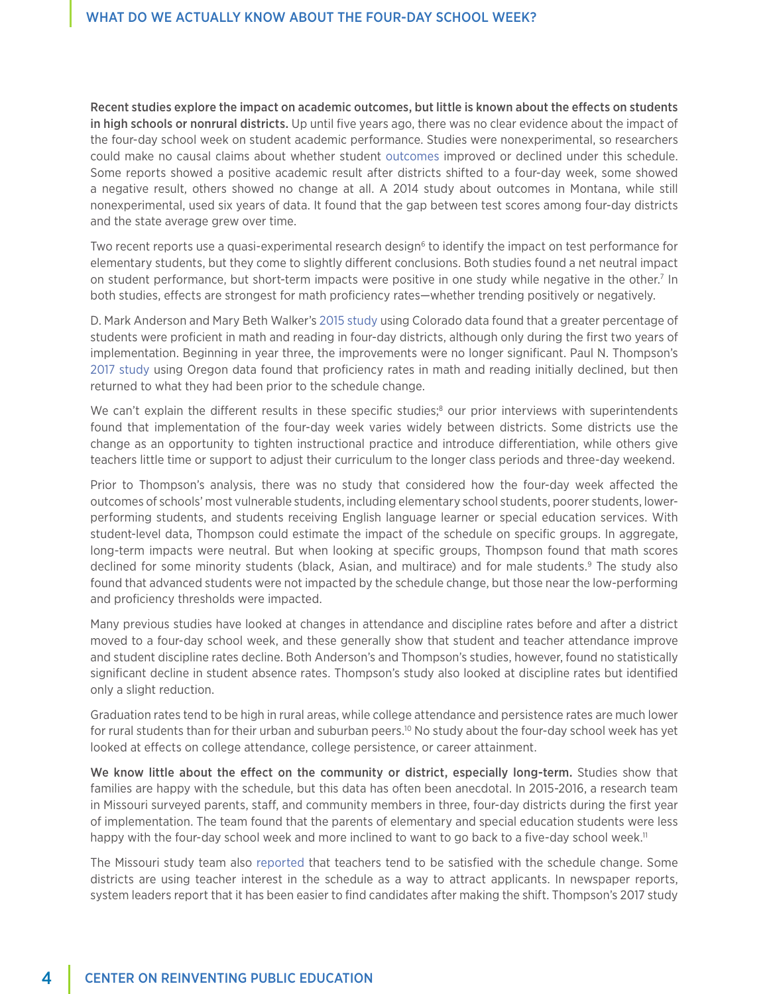Recent studies explore the impact on academic outcomes, but little is known about the effects on students in high schools or nonrural districts. Up until five years ago, there was no clear evidence about the impact of the four-day school week on student academic performance. Studies were nonexperimental, so researchers could make no causal claims about whether student [outcomes](https://scholarworks.umt.edu/etd/10780/) improved or declined under this schedule. Some reports showed a positive academic result after districts shifted to a four-day week, some showed a negative result, others showed no change at all. A 2014 study about outcomes in Montana, while still nonexperimental, used six years of data. It found that the gap between test scores among four-day districts and the state average grew over time.

Two recent reports use a quasi-experimental research design<sup>6</sup> to identify the impact on test performance for elementary students, but they come to slightly different conclusions. Both studies found a net neutral impact on student performance, but short-term impacts were positive in one study while negative in the other.<sup>7</sup> In both studies, effects are strongest for math proficiency rates—whether trending positively or negatively.

D. Mark Anderson and Mary Beth Walker's [2015 study](https://www.mitpressjournals.org/doi/pdf/10.1162/EDFP_a_00165) using Colorado data found that a greater percentage of students were proficient in math and reading in four-day districts, although only during the first two years of implementation. Beginning in year three, the improvements were no longer significant. Paul N. Thompson's [2017 study](https://www.pdx.edu/sites/www.pdx.edu.econ/files/Thompson_fourday_school_week_draft.pdf) using Oregon data found that proficiency rates in math and reading initially declined, but then returned to what they had been prior to the schedule change.

We can't explain the different results in these specific studies;<sup>8</sup> our prior interviews with superintendents found that implementation of the four-day week varies widely between districts. Some districts use the change as an opportunity to tighten instructional practice and introduce differentiation, while others give teachers little time or support to adjust their curriculum to the longer class periods and three-day weekend.

Prior to Thompson's analysis, there was no study that considered how the four-day week affected the outcomes of schools' most vulnerable students, including elementary school students, poorer students, lowerperforming students, and students receiving English language learner or special education services. With student-level data, Thompson could estimate the impact of the schedule on specific groups. In aggregate, long-term impacts were neutral. But when looking at specific groups, Thompson found that math scores declined for some minority students (black, Asian, and multirace) and for male students.<sup>9</sup> The study also found that advanced students were not impacted by the schedule change, but those near the low-performing and proficiency thresholds were impacted.

Many previous studies have looked at changes in attendance and discipline rates before and after a district moved to a four-day school week, and these generally show that student and teacher attendance improve and student discipline rates decline. Both Anderson's and Thompson's studies, however, found no statistically significant decline in student absence rates. Thompson's study also looked at discipline rates but identified only a slight reduction.

Graduation rates tend to be high in rural areas, while college attendance and persistence rates are much lower for rural students than for their urban and suburban peers.10 No study about the four-day school week has yet looked at effects on college attendance, college persistence, or career attainment.

We know little about the effect on the community or district, especially long-term. Studies show that families are happy with the schedule, but this data has often been anecdotal. In 2015-2016, a research team in Missouri surveyed parents, staff, and community members in three, four-day districts during the first year of implementation. The team found that the parents of elementary and special education students were less happy with the four-day school week and more inclined to want to go back to a five-day school week.<sup>11</sup>

The Missouri study team also [reported](https://files.eric.ed.gov/fulltext/EJ1164595.pdf) that teachers tend to be satisfied with the schedule change. Some districts are using teacher interest in the schedule as a way to attract applicants. In newspaper reports, system leaders report that it has been easier to find candidates after making the shift. Thompson's 2017 study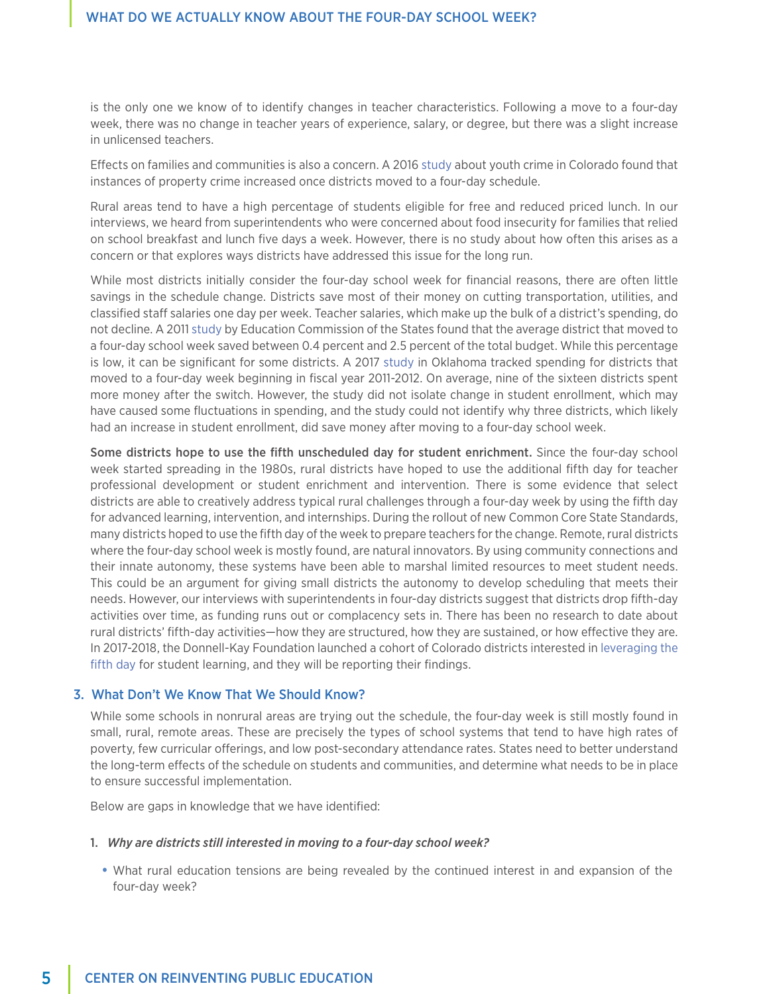is the only one we know of to identify changes in teacher characteristics. Following a move to a four-day week, there was no change in teacher years of experience, salary, or degree, but there was a slight increase in unlicensed teachers.

Effects on families and communities is also a concern. A 2016 [study](https://ideas.repec.org/p/cpl/wpaper/1606.html) about youth crime in Colorado found that instances of property crime increased once districts moved to a four-day schedule.

Rural areas tend to have a high percentage of students eligible for free and reduced priced lunch. In our interviews, we heard from superintendents who were concerned about food insecurity for families that relied on school breakfast and lunch five days a week. However, there is no study about how often this arises as a concern or that explores ways districts have addressed this issue for the long run.

While most districts initially consider the four-day school week for financial reasons, there are often little savings in the schedule change. Districts save most of their money on cutting transportation, utilities, and classified staff salaries one day per week. Teacher salaries, which make up the bulk of a district's spending, do not decline. A 2011 [study](https://www.ecs.org/clearinghouse/93/69/9369.pdf) by Education Commission of the States found that the average district that moved to a four-day school week saved between 0.4 percent and 2.5 percent of the total budget. While this percentage is low, it can be significant for some districts. A 2017 [study](http://sde.ok.gov/sde/sites/ok.gov.sde/files/FDSW%20Report.pdf) in Oklahoma tracked spending for districts that moved to a four-day week beginning in fiscal year 2011-2012. On average, nine of the sixteen districts spent more money after the switch. However, the study did not isolate change in student enrollment, which may have caused some fluctuations in spending, and the study could not identify why three districts, which likely had an increase in student enrollment, did save money after moving to a four-day school week.

Some districts hope to use the fifth unscheduled day for student enrichment. Since the four-day school week started spreading in the 1980s, rural districts have hoped to use the additional fifth day for teacher professional development or student enrichment and intervention. There is some evidence that select districts are able to creatively address typical rural challenges through a four-day week by using the fifth day for advanced learning, intervention, and internships. During the rollout of new Common Core State Standards, many districts hoped to use the fifth day of the week to prepare teachers for the change. Remote, rural districts where the four-day school week is mostly found, are natural innovators. By using community connections and their innate autonomy, these systems have been able to marshal limited resources to meet student needs. This could be an argument for giving small districts the autonomy to develop scheduling that meets their needs. However, our interviews with superintendents in four-day districts suggest that districts drop fifth-day activities over time, as funding runs out or complacency sets in. There has been no research to date about rural districts' fifth-day activities—how they are structured, how they are sustained, or how effective they are. In 2017-2018, the Donnell-Kay Foundation launched a cohort of Colorado districts interested in [leveraging the](http://dkfoundation.org/working-on/antonio-parés/update-on-our-journey-to-leveraging-the-fifth-day)  [fifth day](http://dkfoundation.org/working-on/antonio-parés/update-on-our-journey-to-leveraging-the-fifth-day) for student learning, and they will be reporting their findings.

#### 3. What Don't We Know That We Should Know?

While some schools in nonrural areas are trying out the schedule, the four-day week is still mostly found in small, rural, remote areas. These are precisely the types of school systems that tend to have high rates of poverty, few curricular offerings, and low post-secondary attendance rates. States need to better understand the long-term effects of the schedule on students and communities, and determine what needs to be in place to ensure successful implementation.

Below are gaps in knowledge that we have identified:

#### 1. *Why are districts still interested in moving to a four-day school week?*

**•** What rural education tensions are being revealed by the continued interest in and expansion of the four-day week?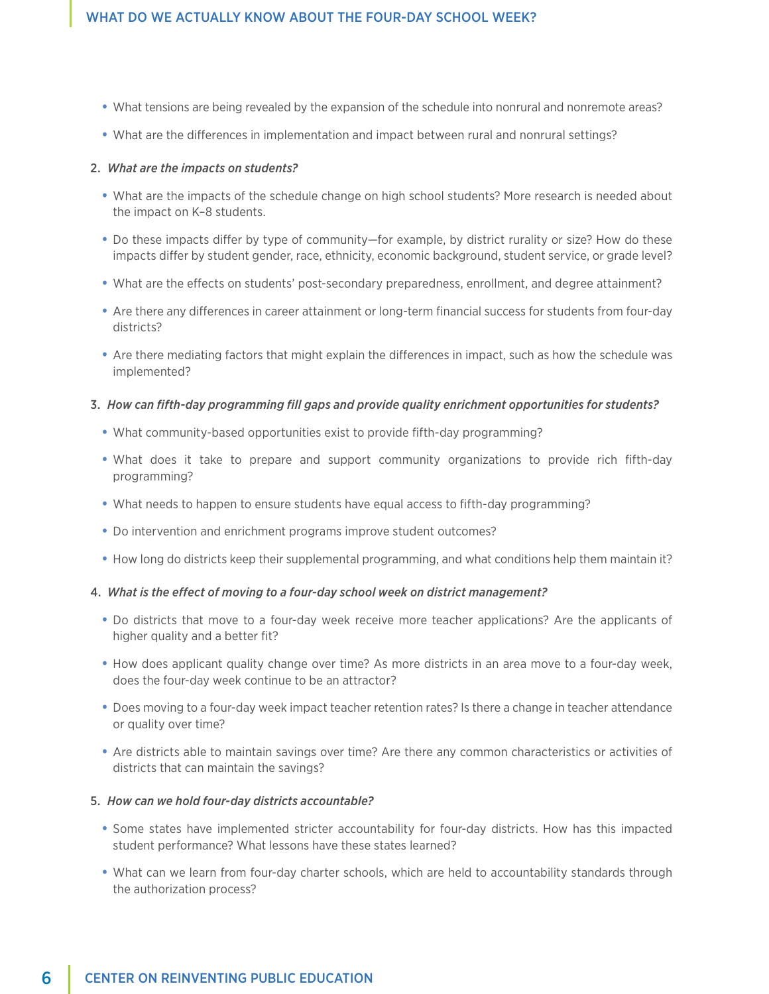- **•** What tensions are being revealed by the expansion of the schedule into nonrural and nonremote areas?
- **•** What are the differences in implementation and impact between rural and nonrural settings?

#### 2. *What are the impacts on students?*

- **•** What are the impacts of the schedule change on high school students? More research is needed about the impact on K–8 students.
- **•** Do these impacts differ by type of community—for example, by district rurality or size? How do these impacts differ by student gender, race, ethnicity, economic background, student service, or grade level?
- **•** What are the effects on students' post-secondary preparedness, enrollment, and degree attainment?
- **•** Are there any differences in career attainment or long-term financial success for students from four-day districts?
- **•** Are there mediating factors that might explain the differences in impact, such as how the schedule was implemented?

## 3. *How can fifth-day programming fill gaps and provide quality enrichment opportunities for students?*

- **•** What community-based opportunities exist to provide fifth-day programming?
- **•** What does it take to prepare and support community organizations to provide rich fifth-day programming?
- **•** What needs to happen to ensure students have equal access to fifth-day programming?
- **•** Do intervention and enrichment programs improve student outcomes?
- **•** How long do districts keep their supplemental programming, and what conditions help them maintain it?

#### 4. *What is the effect of moving to a four-day school week on district management?*

- **•** Do districts that move to a four-day week receive more teacher applications? Are the applicants of higher quality and a better fit?
- **•** How does applicant quality change over time? As more districts in an area move to a four-day week, does the four-day week continue to be an attractor?
- **•** Does moving to a four-day week impact teacher retention rates? Is there a change in teacher attendance or quality over time?
- **•** Are districts able to maintain savings over time? Are there any common characteristics or activities of districts that can maintain the savings?

## 5. *How can we hold four-day districts accountable?*

- **•** Some states have implemented stricter accountability for four-day districts. How has this impacted student performance? What lessons have these states learned?
- **•** What can we learn from four-day charter schools, which are held to accountability standards through the authorization process?